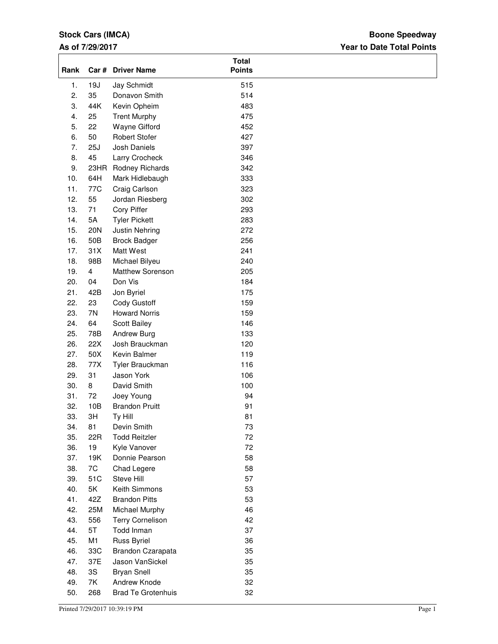## **Stock Cars (IMCA)**

### **As of 7/29/2017**

## **Year to Date Total Points Boone Speedway**

| Rank | Car #                   | <b>Driver Name</b>        | <b>Total</b><br><b>Points</b> |  |
|------|-------------------------|---------------------------|-------------------------------|--|
| 1.   | 19J                     | Jay Schmidt               | 515                           |  |
| 2.   | 35                      | Donavon Smith             | 514                           |  |
| 3.   | 44K                     | Kevin Opheim              | 483                           |  |
| 4.   | 25                      | <b>Trent Murphy</b>       | 475                           |  |
| 5.   | 22                      | Wayne Gifford             | 452                           |  |
| 6.   | 50                      | <b>Robert Stofer</b>      | 427                           |  |
| 7.   | 25J                     | <b>Josh Daniels</b>       | 397                           |  |
| 8.   | 45                      | Larry Crocheck            | 346                           |  |
| 9.   | 23HR                    | Rodney Richards           | 342                           |  |
| 10.  | 64H                     | Mark Hidlebaugh           | 333                           |  |
| 11.  | 77C                     | Craig Carlson             | 323                           |  |
| 12.  | 55                      | Jordan Riesberg           | 302                           |  |
| 13.  | 71                      | Cory Piffer               | 293                           |  |
| 14.  | 5A                      | <b>Tyler Pickett</b>      | 283                           |  |
| 15.  | 20N                     | Justin Nehring            | 272                           |  |
| 16.  | 50B                     | <b>Brock Badger</b>       | 256                           |  |
| 17.  | 31X                     | Matt West                 | 241                           |  |
| 18.  | 98B                     | Michael Bilyeu            | 240                           |  |
| 19.  | $\overline{\mathbf{4}}$ | Matthew Sorenson          | 205                           |  |
| 20.  | 04                      | Don Vis                   | 184                           |  |
| 21.  | 42B                     | Jon Byriel                | 175                           |  |
| 22.  | 23                      | Cody Gustoff              | 159                           |  |
| 23.  | 7N                      | <b>Howard Norris</b>      | 159                           |  |
| 24.  | 64                      | Scott Bailey              | 146                           |  |
| 25.  | 78B                     | Andrew Burg               | 133                           |  |
| 26.  | 22X                     | Josh Brauckman            | 120                           |  |
| 27.  | 50X                     | Kevin Balmer              | 119                           |  |
| 28.  | 77X                     | Tyler Brauckman           | 116                           |  |
| 29.  | 31                      | Jason York                | 106                           |  |
| 30.  | 8                       | David Smith               | 100                           |  |
| 31.  | 72                      | Joey Young                | 94                            |  |
| 32.  | 10B                     | <b>Brandon Pruitt</b>     | 91                            |  |
| 33.  | 3H                      | Ty Hill                   | 81                            |  |
| 34.  | 81                      | Devin Smith               | 73                            |  |
| 35.  | 22R                     | <b>Todd Reitzler</b>      | 72                            |  |
| 36.  | 19                      | Kyle Vanover              | 72                            |  |
| 37.  | 19K                     | Donnie Pearson            | 58                            |  |
| 38.  | 7C                      | Chad Legere               | 58                            |  |
| 39.  | 51C                     | Steve Hill                | 57                            |  |
| 40.  | 5K                      | Keith Simmons             | 53                            |  |
| 41.  | 42Z                     | <b>Brandon Pitts</b>      | 53                            |  |
| 42.  | 25M                     | Michael Murphy            | 46                            |  |
| 43.  | 556                     | <b>Terry Cornelison</b>   | 42                            |  |
| 44.  | 5T                      | Todd Inman                | 37                            |  |
| 45.  | M1                      | <b>Russ Byriel</b>        | 36                            |  |
| 46.  | 33C                     | Brandon Czarapata         | 35                            |  |
| 47.  | 37E                     | Jason VanSickel           | 35                            |  |
| 48.  | 3S                      | <b>Bryan Snell</b>        | 35                            |  |
| 49.  | 7K                      | Andrew Knode              | 32                            |  |
| 50.  | 268                     | <b>Brad Te Grotenhuis</b> | 32                            |  |